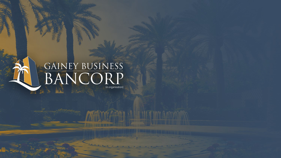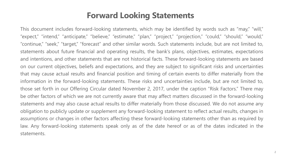### **Forward Looking Statements**

This document includes forward-looking statements, which may be identified by words such as "may," "will," "expect," "intend," "anticipate," "believe," "estimate," "plan," "project," "projection," "could," "should," "would," "continue," "seek," "target," "forecast" and other similar words. Such statements include, but are not limited to, statements about future financial and operating results, the bank's plans, objectives, estimates, expectations and intentions, and other statements that are not historical facts. These forward-looking statements are based on our current objectives, beliefs and expectations, and they are subject to significant risks and uncertainties that may cause actual results and financial position and timing of certain events to differ materially from the information in the forward-looking statements. These risks and uncertainties include, but are not limited to, those set forth in our Offering Circular dated November 2, 2017, under the caption "Risk Factors." There may be other factors of which we are not currently aware that may affect matters discussed in the forward-looking statements and may also cause actual results to differ materially from those discussed. We do not assume any obligation to publicly update or supplement any forward-looking statement to reflect actual results, changes in assumptions or changes in other factors affecting these forward-looking statements other than as required by law. Any forward-looking statements speak only as of the date hereof or as of the dates indicated in the statements.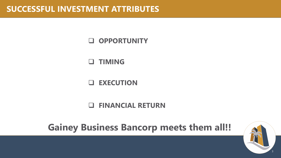**OPPORTUNITY**

**TIMING**

**EXECUTION**

**FINANCIAL RETURN**

**Gainey Business Bancorp meets them all!!**

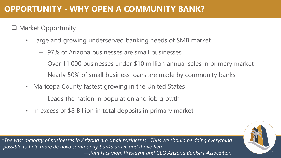# **OPPORTUNITY - WHY OPEN A COMMUNITY BANK?**

**Q** Market Opportunity

- Large and growing underserved banking needs of SMB market
	- 97% of Arizona businesses are small businesses
	- Over 11,000 businesses under \$10 million annual sales in primary market
	- Nearly 50% of small business loans are made by community banks
- Maricopa County fastest growing in the United States
	- Leads the nation in population and job growth
- In excess of \$8 Billion in total deposits in primary market

*"The vast majority of businesses in Arizona are small businesses. Thus we should be doing everything possible to help more de novo community banks arrive and thrive here" —Paul Hickman, President and CEO Arizona Bankers Association* <sup>4</sup>

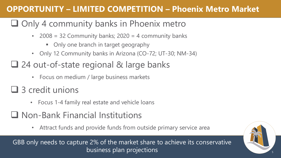# **OPPORTUNITY – LIMITED COMPETITION – Phoenix Metro Market**

# $\Box$  Only 4 community banks in Phoenix metro

- 2008 = 32 Community banks;  $2020 = 4$  community banks
	- Only one branch in target geography
- Only 12 Community banks in Arizona (CO-72; UT-30; NM-34)

# ■ 24 out-of-state regional & large banks

- Focus on medium / large business markets
- 3 credit unions
	- Focus 1-4 family real estate and vehicle loans
- Non-Bank Financial Institutions
	- Attract funds and provide funds from outside primary service area

GBB only needs to capture 2% of the market share to achieve its conservative business plan projections

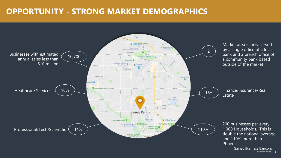## **OPPORTUNITY - STRONG MARKET DEMOGRAPHICS**

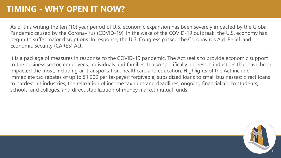As of this writing the ten (10) year period of U.S. economic expansion has been severely impacted by the Global Pandemic caused by the Coronavirus (COVID-19). In the wake of the COVID-19 outbreak, the U.S. economy has begun to suffer major disruptions. In response, the U.S. Congress passed the Coronavirus Aid, Relief, and Economic Security (CARES) Act.

It is a package of measures in response to the COVID-19 pandemic. The Act seeks to provide economic support to the business sector, employees, individuals and families. It also specifically addresses industries that have been impacted the most, including air transportation, healthcare and education. Highlights of the Act include immediate tax rebates of up to \$1,200 per taxpayer; forgivable, subsidized loans to small businesses; direct loans to hardest hit industries; the relaxation of income tax rules and deadlines; ongoing financial aid to students, schools, and colleges; and direct stabilization of money market mutual funds.

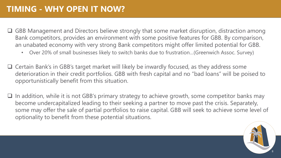- $\Box$  GBB Management and Directors believe strongly that some market disruption, distraction among Bank competitors, provides an environment with some positive features for GBB. By comparison, an unabated economy with very strong Bank competitors might offer limited potential for GBB.
	- Over 20% of small businesses likely to switch banks due to frustration…(Greenwich Assoc. Survey)
- Certain Bank's in GBB's target market will likely be inwardly focused, as they address some deterioration in their credit portfolios. GBB with fresh capital and no "bad loans" will be poised to opportunistically benefit from this situation.
- $\Box$  In addition, while it is not GBB's primary strategy to achieve growth, some competitor banks may become undercapitalized leading to their seeking a partner to move past the crisis. Separately, some may offer the sale of partial portfolios to raise capital. GBB will seek to achieve some level of optionality to benefit from these potential situations.

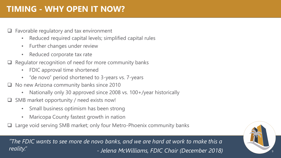# **TIMING - WHY OPEN IT NOW?**

- $\Box$  Favorable regulatory and tax environment
	- Reduced required capital levels; simplified capital rules
	- Further changes under review
	- Reduced corporate tax rate
- $\Box$  Regulator recognition of need for more community banks
	- FDIC approval time shortened
	- "de novo" period shortened to 3-years vs. 7-years
- □ No new Arizona community banks since 2010
	- Nationally only 30 approved since 2008 vs. 100+/year historically
- □ SMB market opportunity / need exists now!
	- Small business optimism has been strong
	- Maricopa County fastest growth in nation
- □ Large void serving SMB market; only four Metro-Phoenix community banks

*"The FDIC wants to see more de novo banks, and we are hard at work to make this a reality." - Jelena McWilliams, FDIC Chair (December 2018)* <sup>9</sup>

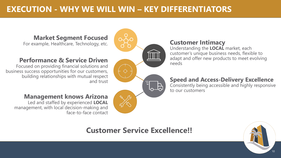# **EXECUTION - WHY WE WILL WIN – KEY DIFFERENTIATORS**

### **Market Segment Focused**

For example, Healthcare, Technology, etc. **Customer Intimacy** 

### Performance & Service Driven

Focused on providing financial solutions and business success opportunities for our customers, building relationships with mutual respect and trust

### **Management knows Arizona**

Led and staffed by experienced **LOCAL** management, with local decision-making and face-to-face contact

Understanding the **LOCAL** market, each customer's unique business needs, flexible to adapt and offer new products to meet evolving

### **Speed and Access-Delivery Excellence**

Consistently being accessible and highly responsive to our customers

# **Customer Service Excellence!!**

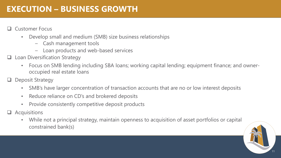# **EXECUTION – BUSINESS GROWTH**

#### Customer Focus

- Develop small and medium (SMB) size business relationships
	- Cash management tools
	- Loan products and web-based services
- Loan Diversification Strategy
	- Focus on SMB lending including SBA loans; working capital lending; equipment finance; and owneroccupied real estate loans
- Deposit Strategy
	- SMB's have larger concentration of transaction accounts that are no or low interest deposits
	- Reduce reliance on CD's and brokered deposits
	- Provide consistently competitive deposit products
- $\Box$  Acquisitions
	- While not a principal strategy, maintain openness to acquisition of asset portfolios or capital constrained bank(s)

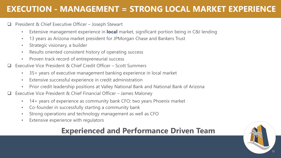# **EXECUTION - MANAGEMENT = STRONG LOCAL MARKET EXPERIENCE**

#### President & Chief Executive Officer – Joseph Stewart

- Extensive management experience in **local** market, significant portion being in C&I lending
- 13 years as Arizona market president for JPMorgan Chase and Bankers Trust
- Strategic visionary, a builder
- Results oriented consistent history of operating success
- Proven track record of entrepreneurial success
- Executive Vice President & Chief Credit Officer Scott Summers
	- 35+ years of executive management banking experience in local market
	- Extensive successful experience in credit administration
	- Prior credit leadership positions at Valley National Bank and National Bank of Arizona
- Executive Vice President & Chief Financial Officer James Maloney
	- 14+ years of experience as community bank CFO; two years Phoenix market
	- Co-founder in successfully starting a community bank
	- Strong operations and technology management as well as CFO
	- Extensive experience with regulators

### **Experienced and Performance Driven Team**

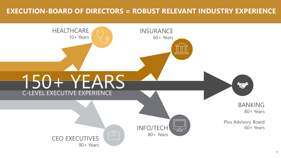### **EXECUTION-BOARD OF DIRECTORS = ROBUST RELEVANT INDUSTRY EXPERIENCE**

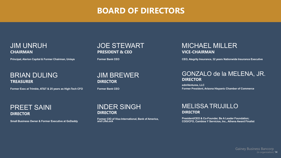### **BOARD OF DIRECTORS**

#### JIM UNRUH **CHAIRMAN**

**Principal, Alerion Capital & Former Chairman, Unisys**

#### BRIAN DULING **TREASURER**

**Former Exec at Trimble, AT&T & 25 years as High-Tech CFO**

PREET SAINI **DIRECTOR**

**Small Business Owner & Former Executive at GoDaddy**

#### JOE STEWART **PRESIDENT & CEO**

**Former Bank CEO**

#### JIM BREWER **DIRECTOR**

**Former Bank CEO**

### MICHAEL MILLER **VICE-CHAIRMAN**

**CEO, Ategrity Insurance, 32 years Nationwide Insurance Executive**

#### GONZALO de la MELENA, JR. **DIRECTOR**

**edmVentures, LLC Former President, Arizona Hispanic Chamber of Commerce**

#### INDER SINGH **DIRECTOR**

**Former CIO of Visa International, Bank of America, and LifeLock**

#### MELISSA TRUJILLO **DIRECTOR**

**President/CEO & Co-Founder, Be A Leader Foundation; COO/CFO, Cambios Y Servicios, Inc., Athena Award Finalist**

> Gainey Business Bancorp (in organization) 14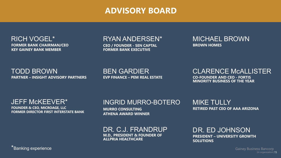### **ADVISORY BOARD**

RICH VOGEL\* **FORMER BANK CHAIRMAN/CEO KEY GAINEY BANK MEMBER**

### RYAN ANDERSEN\*

**CEO / FOUNDER - SEN CAPTAL FORMER BANK EXECUTIVE**

#### MICHAEL BROWN **BROWN HOMES**

TODD BROWN **PARTNER – INSIGHT ADVISORY PARTNERS** BEN GARDIER **EVP FINANCE – PEM REAL ESTATE** CLARENCE McALLISTER **CO-FOUNDER AND CEO - FORTIS MINORITY BUSINESS OF THE YEAR**

JEFF McKEEVER\* **FOUNDER & CEO, MICROAGE, LLC FORMER DIRECTOR FIRST INTERSTATE BANK**

### INGRID MURRO-BOTERO

**MURRO CONSULTING ATHENA AWARD WINNER** MIKE TULLY **RETIRED PAST CEO OF AAA ARIZONA**

#### DR. C.J. FRANDRUP **M.D., PRESIDENT & FOUNDER OF**

**ALLPRIA HEALTHCARE**

DR. ED JOHNSON **PRESIDENT – UNIVERSITY GROWTH SOLUTIONS**

\*Banking experience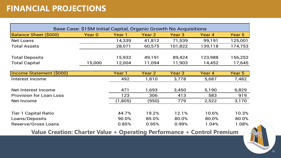| Base Case: \$15M Initial Capital, Organic Growth No Acquisitions |        |         |                   |         |         |         |
|------------------------------------------------------------------|--------|---------|-------------------|---------|---------|---------|
| <b>Balance Sheet (\$000)</b>                                     | Year 0 | Year 1  | Year 2            | Year 3  | Year 4  | Year 5  |
| Net Loans                                                        |        | 14,339  | 41,812            | 71,539  | 99,191  | 125,001 |
| <b>Total Assets</b>                                              |        | 28,071  | 60,575            | 101,822 | 139,118 | 174,753 |
| <b>Total Deposits</b>                                            |        | 15,932  | 49,191            | 89,424  | 123,988 | 156,252 |
| <b>Total Capital</b>                                             | 15,000 | 12,004  | 11,094            | 11,903  | 14,452  | 17,645  |
| Income Statement (\$000)                                         |        | Year 1  | Year <sub>2</sub> | Year 3  | Year 4  | Year 5  |
| Interest Income                                                  |        | 492     | 1,810             | 3,778   | 5,687   | 7,482   |
| Net Interest Income                                              |        | 471     | 1,693             | 3,450   | 5,190   | 6,829   |
| <b>Provision for Loan Loss</b>                                   |        | 123     | 306               | 413     | 583     | 919     |
| Net Income                                                       |        | (1,805) | (950)             | 779     | 2,522   | 3,170   |
|                                                                  |        |         |                   |         |         |         |
| <b>Tier 1 Capital Ratio</b>                                      |        | 44.7%   | 19.2%             | 12.1%   | 10.6%   | 10.3%   |
| Loans/Deposits                                                   |        | 90.0%   | 85.0%             | 80.0%   | 80.0%   | 80.0%   |
| <b>Reserve/Gross Loans</b>                                       |        | 0.85%   | 0.95%             | 0.99%   | 1.04%   | 1.08%   |

**Value Creation: Charter Value + Operating Performance + Control Premium**

FIN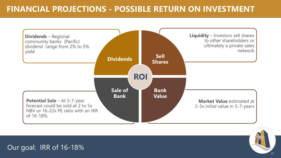# **FINANCIAL PROJECTIONS - POSSIBLE RETURN ON INVESTMENT**





Our goal: IRR of 16-18%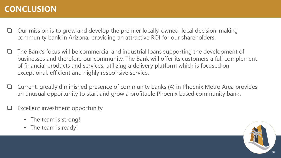# **CONCLUSION**

- $\Box$  Our mission is to grow and develop the premier locally-owned, local decision-making community bank in Arizona, providing an attractive ROI for our shareholders.
- $\Box$  The Bank's focus will be commercial and industrial loans supporting the development of businesses and therefore our community. The Bank will offer its customers a full complement of financial products and services, utilizing a delivery platform which is focused on exceptional, efficient and highly responsive service.
- $\Box$  Current, greatly diminished presence of community banks (4) in Phoenix Metro Area provides an unusual opportunity to start and grow a profitable Phoenix based community bank.
- Excellent investment opportunity
	- The team is strong!
	- The team is ready!

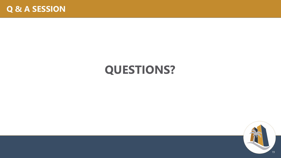

# **QUESTIONS?**

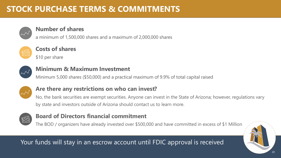# **STOCK PURCHASE TERMS & COMMITMENTS**



#### **Number of shares**

a minimum of 1,500,000 shares and a maximum of 2,000,000 shares



### **Costs of shares**

\$10 per share



### **Minimum & Maximum Investment**

Minimum 5,000 shares (\$50,000) and a practical maximum of 9.9% of total capital raised



### **Are there any restrictions on who can invest?**

No, the bank securities are exempt securities. Anyone can invest in the State of Arizona; however, regulations vary by state and investors outside of Arizona should contact us to learn more.



### **Board of Directors financial commitment**

The BOD / organizers have already invested over \$500,000 and have committed in excess of \$1 Million